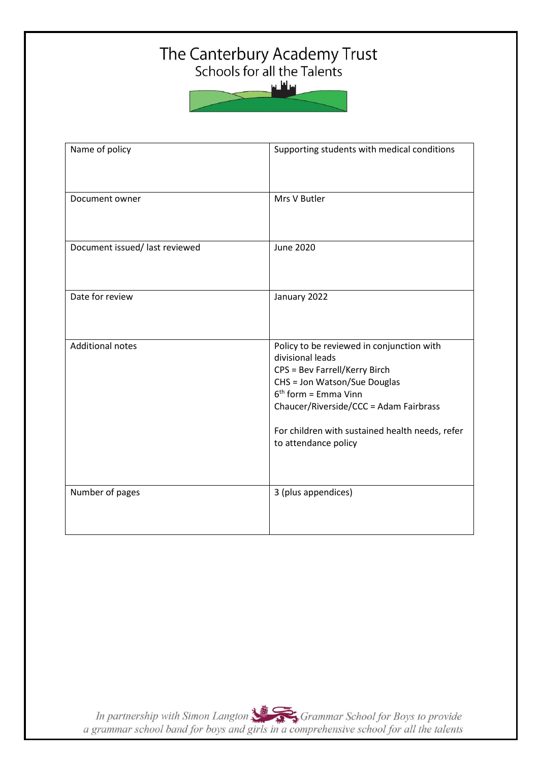# The Canterbury Academy Trust<br>Schools for all the Talents

سافلس

| Name of policy                 | Supporting students with medical conditions                                                                                                                                                                                                                                   |
|--------------------------------|-------------------------------------------------------------------------------------------------------------------------------------------------------------------------------------------------------------------------------------------------------------------------------|
| Document owner                 | Mrs V Butler                                                                                                                                                                                                                                                                  |
| Document issued/ last reviewed | <b>June 2020</b>                                                                                                                                                                                                                                                              |
| Date for review                | January 2022                                                                                                                                                                                                                                                                  |
| <b>Additional notes</b>        | Policy to be reviewed in conjunction with<br>divisional leads<br>CPS = Bev Farrell/Kerry Birch<br>CHS = Jon Watson/Sue Douglas<br>$6th$ form = Emma Vinn<br>Chaucer/Riverside/CCC = Adam Fairbrass<br>For children with sustained health needs, refer<br>to attendance policy |
| Number of pages                | 3 (plus appendices)                                                                                                                                                                                                                                                           |

In partnership with Simon Langton Sexting Grammar School for Boys to provide<br>a grammar school band for boys and girls in a comprehensive school for all the talents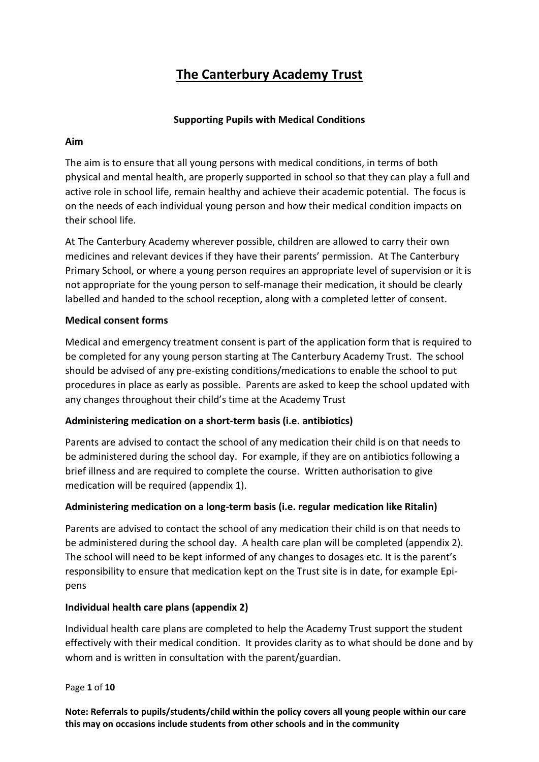### **The Canterbury Academy Trust**

#### **Supporting Pupils with Medical Conditions**

#### **Aim**

The aim is to ensure that all young persons with medical conditions, in terms of both physical and mental health, are properly supported in school so that they can play a full and active role in school life, remain healthy and achieve their academic potential. The focus is on the needs of each individual young person and how their medical condition impacts on their school life.

At The Canterbury Academy wherever possible, children are allowed to carry their own medicines and relevant devices if they have their parents' permission. At The Canterbury Primary School, or where a young person requires an appropriate level of supervision or it is not appropriate for the young person to self-manage their medication, it should be clearly labelled and handed to the school reception, along with a completed letter of consent.

#### **Medical consent forms**

Medical and emergency treatment consent is part of the application form that is required to be completed for any young person starting at The Canterbury Academy Trust. The school should be advised of any pre-existing conditions/medications to enable the school to put procedures in place as early as possible. Parents are asked to keep the school updated with any changes throughout their child's time at the Academy Trust

#### **Administering medication on a short-term basis (i.e. antibiotics)**

Parents are advised to contact the school of any medication their child is on that needs to be administered during the school day. For example, if they are on antibiotics following a brief illness and are required to complete the course. Written authorisation to give medication will be required (appendix 1).

#### **Administering medication on a long-term basis (i.e. regular medication like Ritalin)**

Parents are advised to contact the school of any medication their child is on that needs to be administered during the school day. A health care plan will be completed (appendix 2). The school will need to be kept informed of any changes to dosages etc. It is the parent's responsibility to ensure that medication kept on the Trust site is in date, for example Epipens

#### **Individual health care plans (appendix 2)**

Individual health care plans are completed to help the Academy Trust support the student effectively with their medical condition. It provides clarity as to what should be done and by whom and is written in consultation with the parent/guardian.

Page **1** of **10**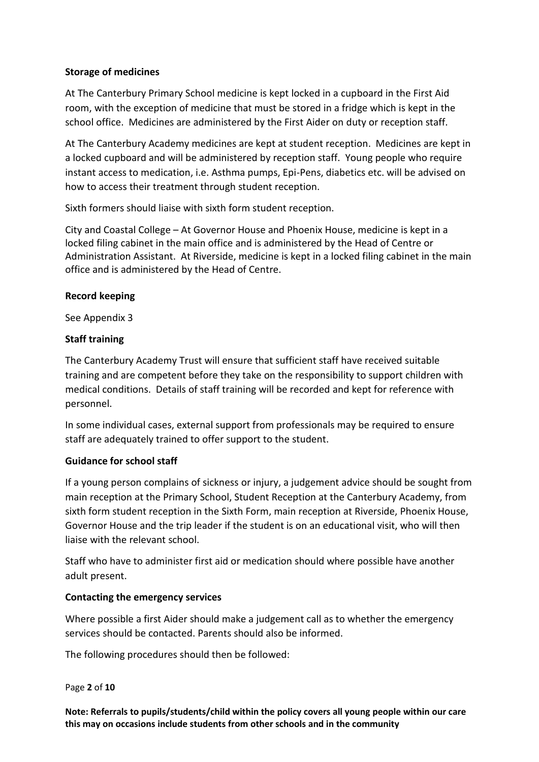#### **Storage of medicines**

At The Canterbury Primary School medicine is kept locked in a cupboard in the First Aid room, with the exception of medicine that must be stored in a fridge which is kept in the school office. Medicines are administered by the First Aider on duty or reception staff.

At The Canterbury Academy medicines are kept at student reception. Medicines are kept in a locked cupboard and will be administered by reception staff. Young people who require instant access to medication, i.e. Asthma pumps, Epi-Pens, diabetics etc. will be advised on how to access their treatment through student reception.

Sixth formers should liaise with sixth form student reception.

City and Coastal College – At Governor House and Phoenix House, medicine is kept in a locked filing cabinet in the main office and is administered by the Head of Centre or Administration Assistant. At Riverside, medicine is kept in a locked filing cabinet in the main office and is administered by the Head of Centre.

#### **Record keeping**

See Appendix 3

#### **Staff training**

The Canterbury Academy Trust will ensure that sufficient staff have received suitable training and are competent before they take on the responsibility to support children with medical conditions. Details of staff training will be recorded and kept for reference with personnel.

In some individual cases, external support from professionals may be required to ensure staff are adequately trained to offer support to the student.

#### **Guidance for school staff**

If a young person complains of sickness or injury, a judgement advice should be sought from main reception at the Primary School, Student Reception at the Canterbury Academy, from sixth form student reception in the Sixth Form, main reception at Riverside, Phoenix House, Governor House and the trip leader if the student is on an educational visit, who will then liaise with the relevant school.

Staff who have to administer first aid or medication should where possible have another adult present.

#### **Contacting the emergency services**

Where possible a first Aider should make a judgement call as to whether the emergency services should be contacted. Parents should also be informed.

The following procedures should then be followed:

#### Page **2** of **10**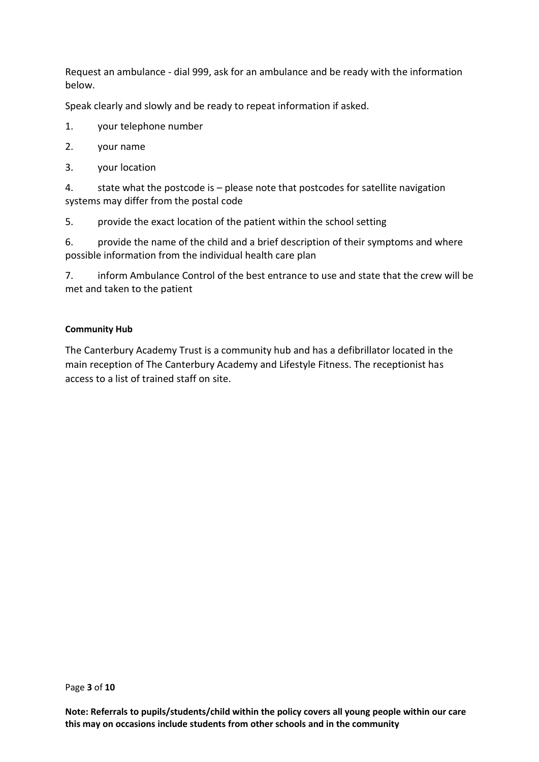Request an ambulance - dial 999, ask for an ambulance and be ready with the information below.

Speak clearly and slowly and be ready to repeat information if asked.

- 1. your telephone number
- 2. your name
- 3. your location

4. state what the postcode is – please note that postcodes for satellite navigation systems may differ from the postal code

5. provide the exact location of the patient within the school setting

6. provide the name of the child and a brief description of their symptoms and where possible information from the individual health care plan

7. inform Ambulance Control of the best entrance to use and state that the crew will be met and taken to the patient

#### **Community Hub**

The Canterbury Academy Trust is a community hub and has a defibrillator located in the main reception of The Canterbury Academy and Lifestyle Fitness. The receptionist has access to a list of trained staff on site.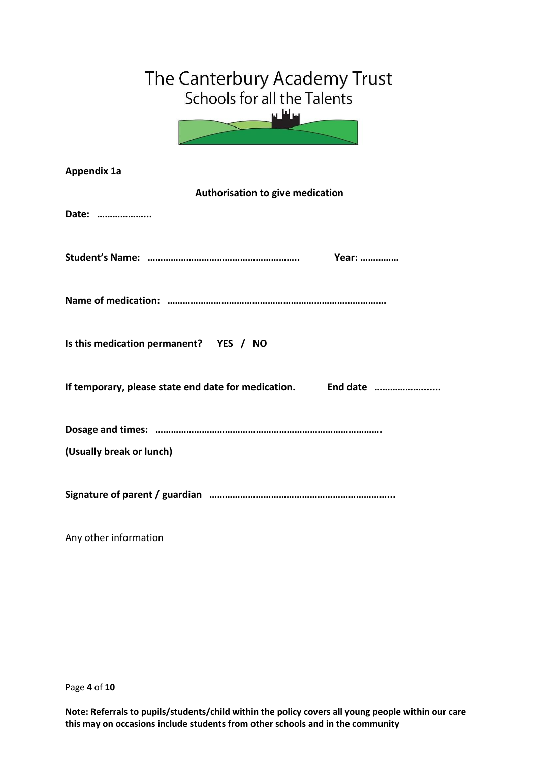| The Canterbury Academy Trust<br>Schools for all the Talents<br>ᆈᅛᆈᆈ |  |  |  |  |  |  |
|---------------------------------------------------------------------|--|--|--|--|--|--|
| <b>Appendix 1a</b>                                                  |  |  |  |  |  |  |
| Authorisation to give medication                                    |  |  |  |  |  |  |
| Date:                                                               |  |  |  |  |  |  |
|                                                                     |  |  |  |  |  |  |
|                                                                     |  |  |  |  |  |  |
|                                                                     |  |  |  |  |  |  |
|                                                                     |  |  |  |  |  |  |
|                                                                     |  |  |  |  |  |  |
| Is this medication permanent? YES / NO                              |  |  |  |  |  |  |
|                                                                     |  |  |  |  |  |  |
|                                                                     |  |  |  |  |  |  |
|                                                                     |  |  |  |  |  |  |
|                                                                     |  |  |  |  |  |  |
| (Usually break or lunch)                                            |  |  |  |  |  |  |
|                                                                     |  |  |  |  |  |  |
| Any other information                                               |  |  |  |  |  |  |

Page **4** of **10**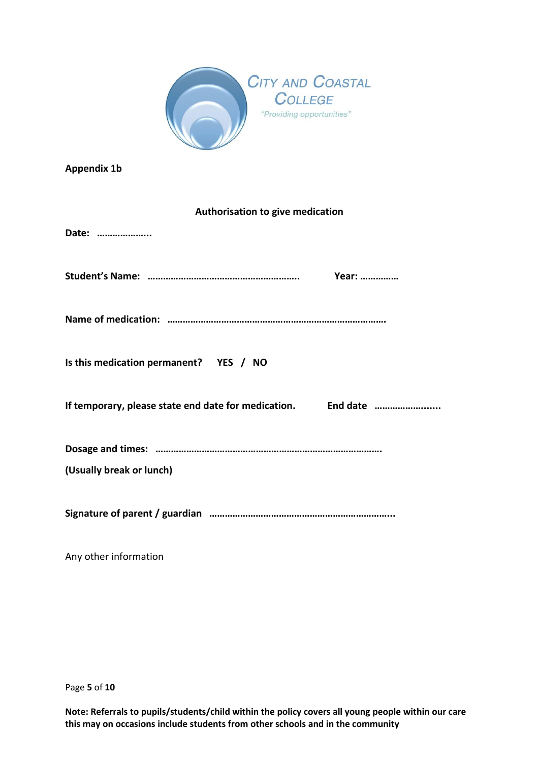

**Appendix 1b**

#### **Authorisation to give medication**

| Date:                                  |
|----------------------------------------|
|                                        |
|                                        |
| Is this medication permanent? YES / NO |
|                                        |
| (Usually break or lunch)               |
|                                        |

Any other information

Page **5** of **10**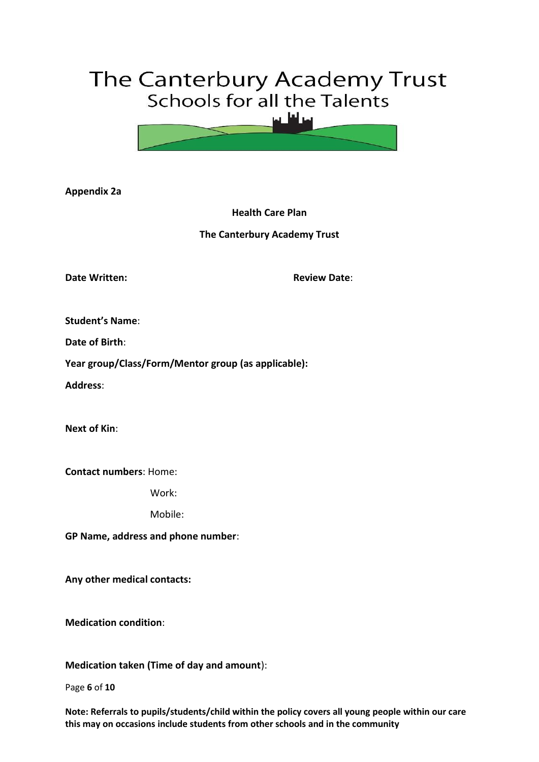## The Canterbury Academy Trust Schools for all the Talents



**Appendix 2a**

**Health Care Plan**

#### **The Canterbury Academy Trust**

**Date Written: Review Date: Review Date:** 

**Student's Name**:

**Date of Birth**:

**Year group/Class/Form/Mentor group (as applicable):** 

**Address**:

**Next of Kin**:

**Contact numbers**: Home:

Work:

Mobile:

**GP Name, address and phone number**:

**Any other medical contacts:**

**Medication condition**:

**Medication taken (Time of day and amount**):

Page **6** of **10**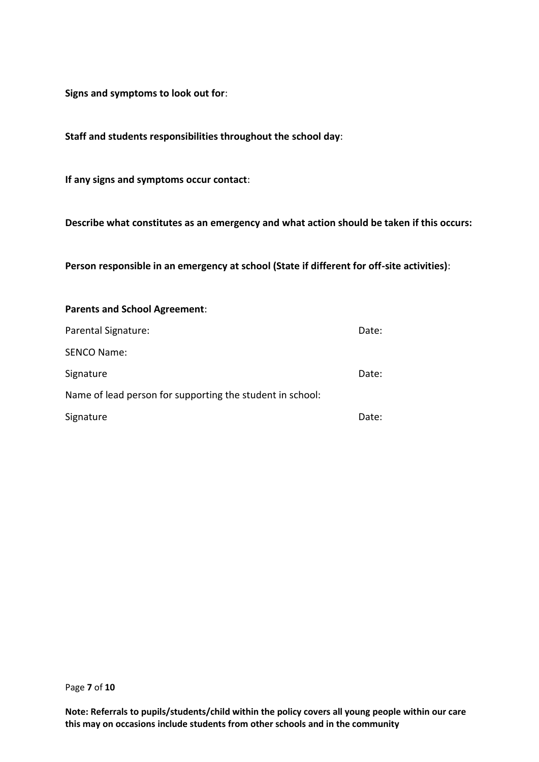**Signs and symptoms to look out for**:

**Staff and students responsibilities throughout the school day**:

**If any signs and symptoms occur contact**:

**Describe what constitutes as an emergency and what action should be taken if this occurs:**

**Person responsible in an emergency at school (State if different for off-site activities)**:

## **Parents and School Agreement**: Parental Signature: Date: SENCO Name: Signature Date: Name of lead person for supporting the student in school: Signature Date: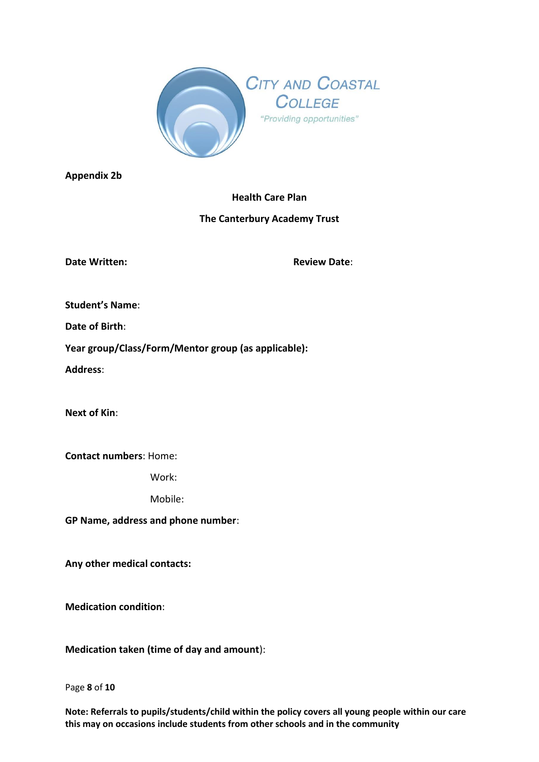

**Appendix 2b**

#### **Health Care Plan**

#### **The Canterbury Academy Trust**

**Date Written: Review Date**:

**Student's Name**:

**Date of Birth**:

**Year group/Class/Form/Mentor group (as applicable):** 

**Address**:

**Next of Kin**:

**Contact numbers**: Home:

Work:

Mobile:

**GP Name, address and phone number**:

**Any other medical contacts:**

**Medication condition**:

**Medication taken (time of day and amount**):

Page **8** of **10**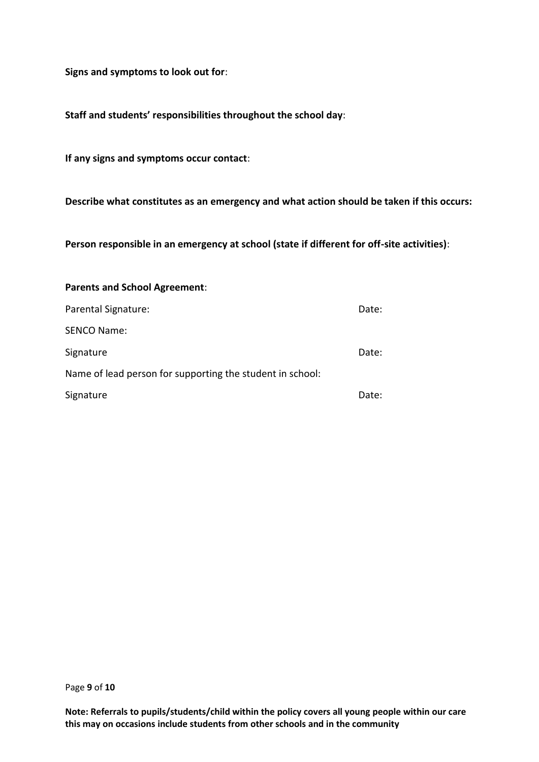**Signs and symptoms to look out for**:

**Staff and students' responsibilities throughout the school day**:

**If any signs and symptoms occur contact**:

**Describe what constitutes as an emergency and what action should be taken if this occurs:**

**Person responsible in an emergency at school (state if different for off-site activities)**:

| <b>Parents and School Agreement:</b>                      |       |
|-----------------------------------------------------------|-------|
| Parental Signature:                                       | Date: |
| <b>SENCO Name:</b>                                        |       |
| Signature                                                 | Date: |
| Name of lead person for supporting the student in school: |       |
| Signature                                                 | Date: |

Page **9** of **10**